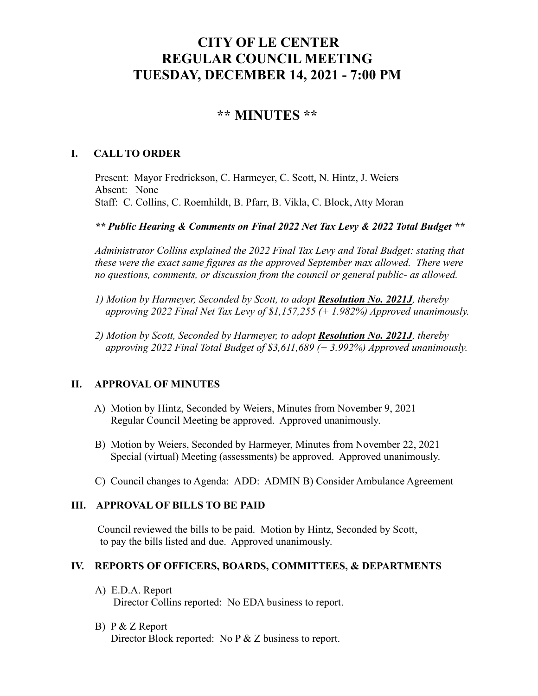# **CITY OF LE CENTER REGULAR COUNCIL MEETING TUESDAY, DECEMBER 14, 2021 - 7:00 PM**

## **\*\* MINUTES \*\***

## **I. CALL TO ORDER**

Present: Mayor Fredrickson, C. Harmeyer, C. Scott, N. Hintz, J. Weiers Absent: None Staff: C. Collins, C. Roemhildt, B. Pfarr, B. Vikla, C. Block, Atty Moran

*\*\* Public Hearing & Comments on Final 2022 Net Tax Levy & 2022 Total Budget \*\**

*Administrator Collins explained the 2022 Final Tax Levy and Total Budget: stating that these were the exact same figures as the approved September max allowed. There were no questions, comments, or discussion from the council or general public- as allowed.*

- *1) Motion by Harmeyer, Seconded by Scott, to adopt Resolution No. 2021J, thereby approving 2022 Final Net Tax Levy of \$1,157,255 (+ 1.982%) Approved unanimously.*
- *2) Motion by Scott, Seconded by Harmeyer, to adopt Resolution No. 2021J, thereby approving 2022 Final Total Budget of \$3,611,689 (+ 3.992%) Approved unanimously.*

## **II. APPROVAL OF MINUTES**

- A) Motion by Hintz, Seconded by Weiers, Minutes from November 9, 2021 Regular Council Meeting be approved. Approved unanimously.
- B) Motion by Weiers, Seconded by Harmeyer, Minutes from November 22, 2021 Special (virtual) Meeting (assessments) be approved. Approved unanimously.
- C) Council changes to Agenda: ADD: ADMIN B) Consider Ambulance Agreement

## **III. APPROVAL OF BILLS TO BE PAID**

Council reviewed the bills to be paid. Motion by Hintz, Seconded by Scott, to pay the bills listed and due. Approved unanimously.

## **IV. REPORTS OF OFFICERS, BOARDS, COMMITTEES, & DEPARTMENTS**

- A) E.D.A. Report Director Collins reported: No EDA business to report.
- B) P & Z Report Director Block reported: No P & Z business to report.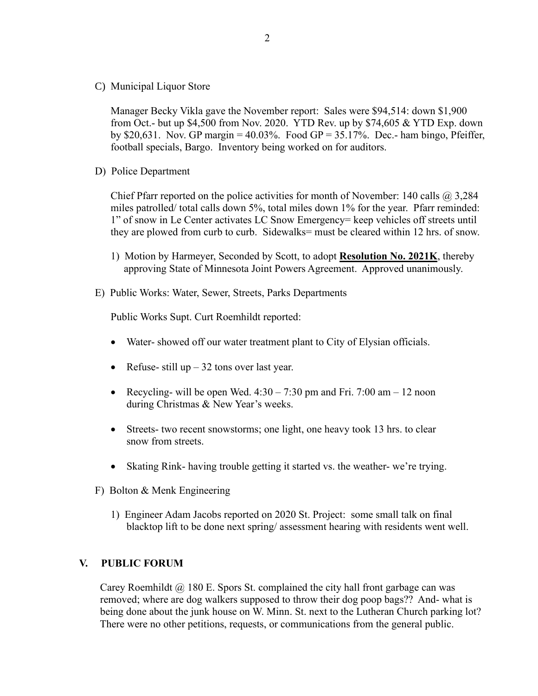C) Municipal Liquor Store

Manager Becky Vikla gave the November report: Sales were \$94,514: down \$1,900 from Oct.- but up \$4,500 from Nov. 2020. YTD Rev. up by \$74,605 & YTD Exp. down by \$20,631. Nov. GP margin =  $40.03\%$ . Food GP = 35.17%. Dec.- ham bingo, Pfeiffer, football specials, Bargo. Inventory being worked on for auditors.

D) Police Department

Chief Pfarr reported on the police activities for month of November: 140 calls  $\omega$  3,284 miles patrolled/ total calls down 5%, total miles down 1% for the year. Pfarr reminded: 1" of snow in Le Center activates LC Snow Emergency= keep vehicles off streets until they are plowed from curb to curb. Sidewalks= must be cleared within 12 hrs. of snow.

- 1) Motion by Harmeyer, Seconded by Scott, to adopt **Resolution No. 2021K**, thereby approving State of Minnesota Joint Powers Agreement. Approved unanimously.
- E) Public Works: Water, Sewer, Streets, Parks Departments

Public Works Supt. Curt Roemhildt reported:

- Water- showed off our water treatment plant to City of Elysian officials.
- Refuse- still up  $-32$  tons over last year.
- Recycling- will be open Wed.  $4:30 7:30$  pm and Fri. 7:00 am  $-12$  noon during Christmas & New Year's weeks.
- Streets- two recent snowstorms; one light, one heavy took 13 hrs. to clear snow from streets.
- Skating Rink- having trouble getting it started vs. the weather-we're trying.
- F) Bolton & Menk Engineering
	- 1) Engineer Adam Jacobs reported on 2020 St. Project: some small talk on final blacktop lift to be done next spring/ assessment hearing with residents went well.

#### **V. PUBLIC FORUM**

Carey Roemhildt @ 180 E. Spors St. complained the city hall front garbage can was removed; where are dog walkers supposed to throw their dog poop bags?? And- what is being done about the junk house on W. Minn. St. next to the Lutheran Church parking lot? There were no other petitions, requests, or communications from the general public.